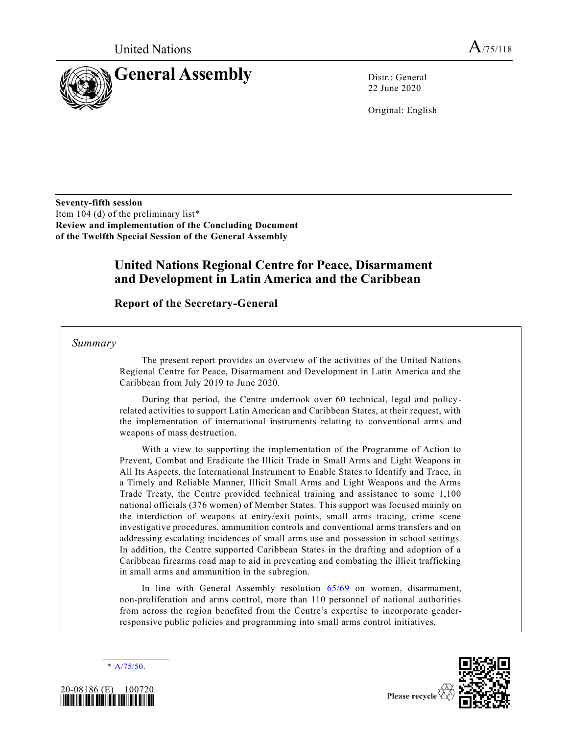

22 June 2020

Original: English

**Seventy-fifth session**  Item 104 (d) of the preliminary list\* **Review and implementation of the Concluding Document of the Twelfth Special Session of the General Assembly**

# **United Nations Regional Centre for Peace, Disarmament and Development in Latin America and the Caribbean**

**Report of the Secretary-General**

*Summary*

The present report provides an overview of the activities of the United Nations Regional Centre for Peace, Disarmament and Development in Latin America and the Caribbean from July 2019 to June 2020.

During that period, the Centre undertook over 60 technical, legal and policyrelated activities to support Latin American and Caribbean States, at their request, with the implementation of international instruments relating to conventional arms and weapons of mass destruction.

With a view to supporting the implementation of the Programme of Action to Prevent, Combat and Eradicate the Illicit Trade in Small Arms and Light Weapons in All Its Aspects, the International Instrument to Enable States to Identify and Trace, in a Timely and Reliable Manner, Illicit Small Arms and Light Weapons and the Arms Trade Treaty, the Centre provided technical training and assistance to some 1,100 national officials (376 women) of Member States. This support was focused mainly on the interdiction of weapons at entry/exit points, small arms tracing, crime scene investigative procedures, ammunition controls and conventional arms transfers and on addressing escalating incidences of small arms use and possession in school settings. In addition, the Centre supported Caribbean States in the drafting and adoption of a Caribbean firearms road map to aid in preventing and combating the illicit trafficking in small arms and ammunition in the subregion.

In line with General Assembly resolution 65/69 on women, disarmament, non-proliferation and arms control, more than 110 personnel of national authorities from across the region benefited from the Centre's expertise to incorporate genderresponsive public policies and programming into small arms control initiatives.

\* A/75/50.





Please recycle  $\langle$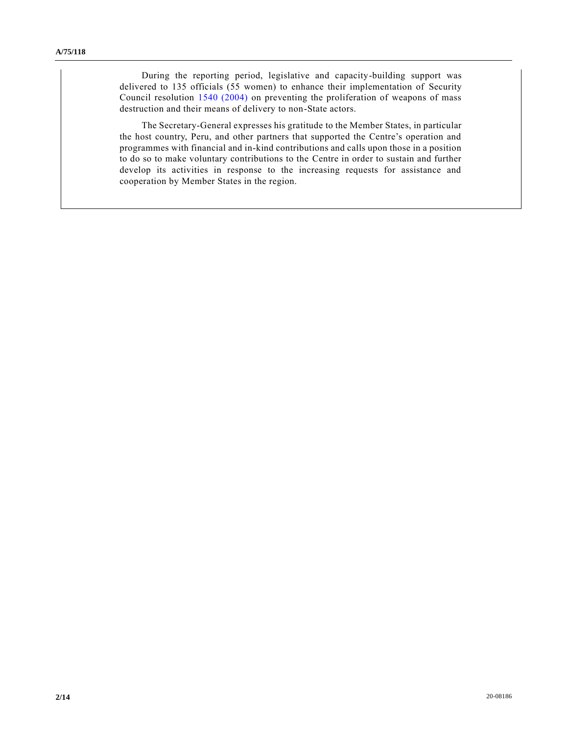During the reporting period, legislative and capacity-building support was delivered to 135 officials (55 women) to enhance their implementation of Security Council resolution 1540 (2004) on preventing the proliferation of weapons of mass destruction and their means of delivery to non-State actors.

The Secretary-General expresses his gratitude to the Member States, in particular the host country, Peru, and other partners that supported the Centre's operation and programmes with financial and in-kind contributions and calls upon those in a position to do so to make voluntary contributions to the Centre in order to sustain and further develop its activities in response to the increasing requests for assistance and cooperation by Member States in the region.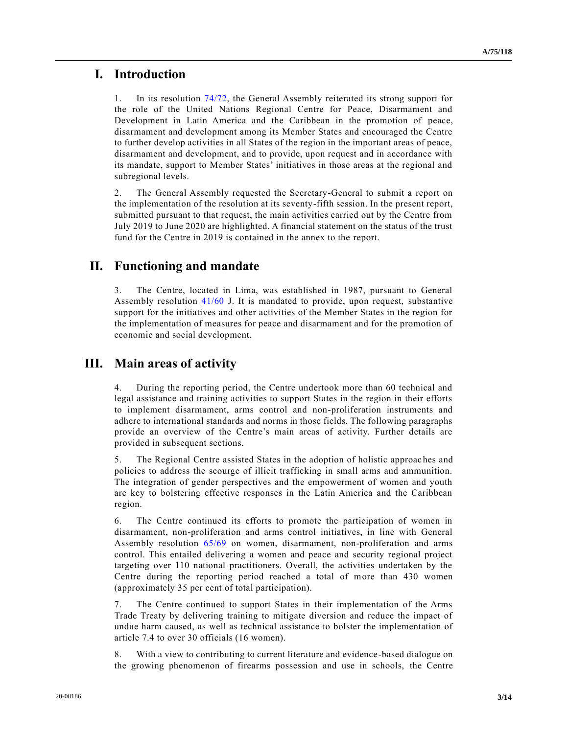# **I. Introduction**

1. In its resolution 74/72, the General Assembly reiterated its strong support for the role of the United Nations Regional Centre for Peace, Disarmament and Development in Latin America and the Caribbean in the promotion of peace, disarmament and development among its Member States and encouraged the Centre to further develop activities in all States of the region in the important areas of peace, disarmament and development, and to provide, upon request and in accordance with its mandate, support to Member States' initiatives in those areas at the regional and subregional levels.

2. The General Assembly requested the Secretary-General to submit a report on the implementation of the resolution at its seventy-fifth session. In the present report, submitted pursuant to that request, the main activities carried out by the Centre from July 2019 to June 2020 are highlighted. A financial statement on the status of the trust fund for the Centre in 2019 is contained in the annex to the report.

# **II. Functioning and mandate**

3. The Centre, located in Lima, was established in 1987, pursuant to General Assembly resolution 41/60 J. It is mandated to provide, upon request, substantive support for the initiatives and other activities of the Member States in the region for the implementation of measures for peace and disarmament and for the promotion of economic and social development.

# **III. Main areas of activity**

4. During the reporting period, the Centre undertook more than 60 technical and legal assistance and training activities to support States in the region in their efforts to implement disarmament, arms control and non-proliferation instruments and adhere to international standards and norms in those fields. The following paragraphs provide an overview of the Centre's main areas of activity. Further details are provided in subsequent sections.

5. The Regional Centre assisted States in the adoption of holistic approaches and policies to address the scourge of illicit trafficking in small arms and ammunition. The integration of gender perspectives and the empowerment of women and youth are key to bolstering effective responses in the Latin America and the Caribbean region.

6. The Centre continued its efforts to promote the participation of women in disarmament, non-proliferation and arms control initiatives, in line with General Assembly resolution 65/69 on women, disarmament, non-proliferation and arms control. This entailed delivering a women and peace and security regional project targeting over 110 national practitioners. Overall, the activities undertaken by the Centre during the reporting period reached a total of more than 430 women (approximately 35 per cent of total participation).

7. The Centre continued to support States in their implementation of the Arms Trade Treaty by delivering training to mitigate diversion and reduce the impact of undue harm caused, as well as technical assistance to bolster the implementation of article 7.4 to over 30 officials (16 women).

8. With a view to contributing to current literature and evidence-based dialogue on the growing phenomenon of firearms possession and use in schools, the Centre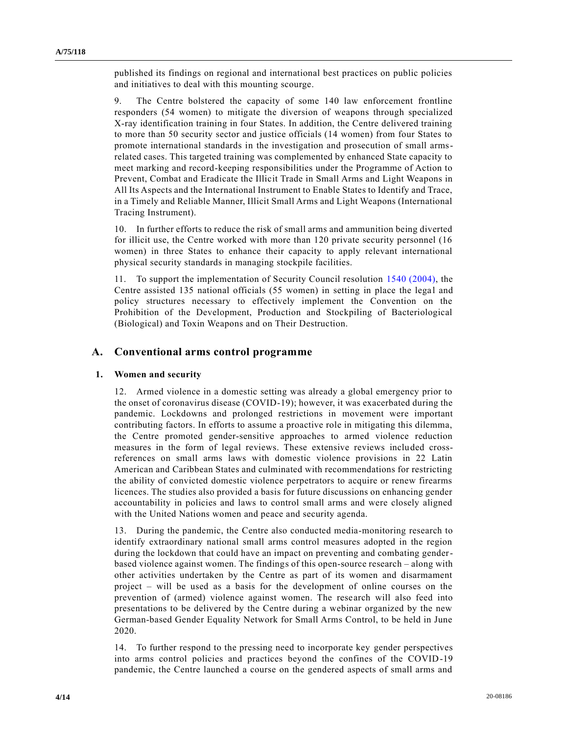published its findings on regional and international best practices on public policies and initiatives to deal with this mounting scourge.

9. The Centre bolstered the capacity of some 140 law enforcement frontline responders (54 women) to mitigate the diversion of weapons through specialized X-ray identification training in four States. In addition, the Centre delivered training to more than 50 security sector and justice officials (14 women) from four States to promote international standards in the investigation and prosecution of small armsrelated cases. This targeted training was complemented by enhanced State capacity to meet marking and record-keeping responsibilities under the Programme of Action to Prevent, Combat and Eradicate the Illicit Trade in Small Arms and Light Weapons in All Its Aspects and the International Instrument to Enable States to Identify and Trace, in a Timely and Reliable Manner, Illicit Small Arms and Light Weapons (International Tracing Instrument).

10. In further efforts to reduce the risk of small arms and ammunition being diverted for illicit use, the Centre worked with more than 120 private security personnel (16 women) in three States to enhance their capacity to apply relevant international physical security standards in managing stockpile facilities.

11. To support the implementation of Security Council resolution 1540 (2004), the Centre assisted 135 national officials (55 women) in setting in place the legal and policy structures necessary to effectively implement the Convention on the Prohibition of the Development, Production and Stockpiling of Bacteriological (Biological) and Toxin Weapons and on Their Destruction.

## **A. Conventional arms control programme**

### **1. Women and security**

12. Armed violence in a domestic setting was already a global emergency prior to the onset of coronavirus disease (COVID-19); however, it was exacerbated during the pandemic. Lockdowns and prolonged restrictions in movement were important contributing factors. In efforts to assume a proactive role in mitigating this dilemma, the Centre promoted gender-sensitive approaches to armed violence reduction measures in the form of legal reviews. These extensive reviews included crossreferences on small arms laws with domestic violence provisions in 22 Latin American and Caribbean States and culminated with recommendations for restricting the ability of convicted domestic violence perpetrators to acquire or renew firearms licences. The studies also provided a basis for future discussions on enhancing gender accountability in policies and laws to control small arms and were closely aligned with the United Nations women and peace and security agenda.

13. During the pandemic, the Centre also conducted media-monitoring research to identify extraordinary national small arms control measures adopted in the region during the lockdown that could have an impact on preventing and combating genderbased violence against women. The findings of this open-source research – along with other activities undertaken by the Centre as part of its women and disarmament project – will be used as a basis for the development of online courses on the prevention of (armed) violence against women. The research will also feed into presentations to be delivered by the Centre during a webinar organized by the new German-based Gender Equality Network for Small Arms Control, to be held in June 2020.

14. To further respond to the pressing need to incorporate key gender perspectives into arms control policies and practices beyond the confines of the COVID-19 pandemic, the Centre launched a course on the gendered aspects of small arms and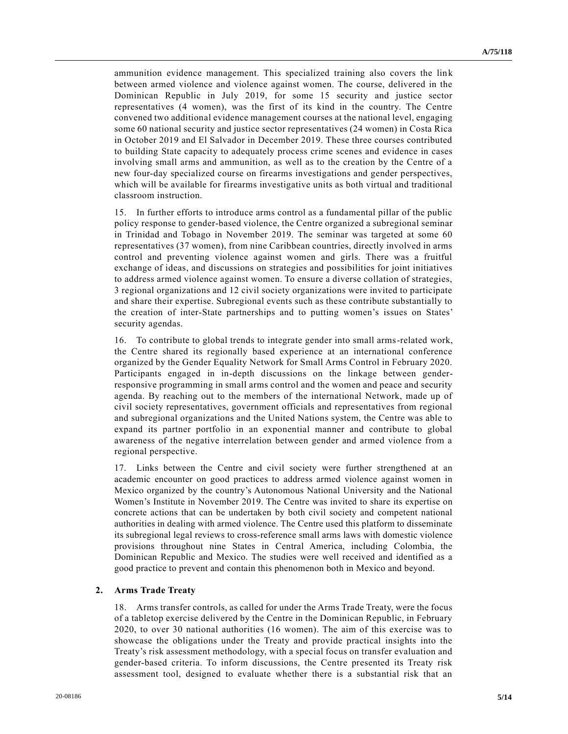ammunition evidence management. This specialized training also covers the link between armed violence and violence against women. The course, delivered in the Dominican Republic in July 2019, for some 15 security and justice sector representatives (4 women), was the first of its kind in the country. The Centre convened two additional evidence management courses at the national level, engaging some 60 national security and justice sector representatives (24 women) in Costa Rica in October 2019 and El Salvador in December 2019. These three courses contributed to building State capacity to adequately process crime scenes and evidence in cases involving small arms and ammunition, as well as to the creation by the Centre of a new four-day specialized course on firearms investigations and gender perspectives, which will be available for firearms investigative units as both virtual and traditional classroom instruction.

15. In further efforts to introduce arms control as a fundamental pillar of the public policy response to gender-based violence, the Centre organized a subregional seminar in Trinidad and Tobago in November 2019. The seminar was targeted at some 60 representatives (37 women), from nine Caribbean countries, directly involved in arms control and preventing violence against women and girls. There was a fruitful exchange of ideas, and discussions on strategies and possibilities for joint initiatives to address armed violence against women. To ensure a diverse collation of strategies, 3 regional organizations and 12 civil society organizations were invited to participate and share their expertise. Subregional events such as these contribute substantially to the creation of inter-State partnerships and to putting women's issues on States' security agendas.

16. To contribute to global trends to integrate gender into small arms-related work, the Centre shared its regionally based experience at an international conference organized by the Gender Equality Network for Small Arms Control in February 2020. Participants engaged in in-depth discussions on the linkage between genderresponsive programming in small arms control and the women and peace and security agenda. By reaching out to the members of the international Network, made up of civil society representatives, government officials and representatives from regional and subregional organizations and the United Nations system, the Centre was able to expand its partner portfolio in an exponential manner and contribute to global awareness of the negative interrelation between gender and armed violence from a regional perspective.

17. Links between the Centre and civil society were further strengthened at an academic encounter on good practices to address armed violence against women in Mexico organized by the country's Autonomous National University and the National Women's Institute in November 2019. The Centre was invited to share its expertise on concrete actions that can be undertaken by both civil society and competent national authorities in dealing with armed violence. The Centre used this platform to disseminate its subregional legal reviews to cross-reference small arms laws with domestic violence provisions throughout nine States in Central America, including Colombia, the Dominican Republic and Mexico. The studies were well received and identified as a good practice to prevent and contain this phenomenon both in Mexico and beyond.

#### **2. Arms Trade Treaty**

18. Arms transfer controls, as called for under the Arms Trade Treaty, were the focus of a tabletop exercise delivered by the Centre in the Dominican Republic, in February 2020, to over 30 national authorities (16 women). The aim of this exercise was to showcase the obligations under the Treaty and provide practical insights into the Treaty's risk assessment methodology, with a special focus on transfer evaluation and gender-based criteria. To inform discussions, the Centre presented its Treaty risk assessment tool, designed to evaluate whether there is a substantial risk that an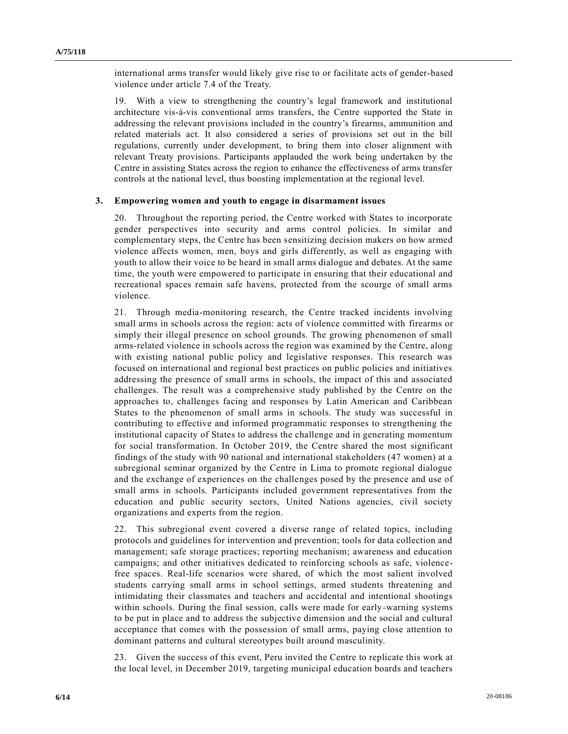international arms transfer would likely give rise to or facilitate acts of gender-based violence under article 7.4 of the Treaty.

19. With a view to strengthening the country's legal framework and institutional architecture vis-à-vis conventional arms transfers, the Centre supported the State in addressing the relevant provisions included in the country's firearms, ammunition and related materials act. It also considered a series of provisions set out in the bill regulations, currently under development, to bring them into closer alignment with relevant Treaty provisions. Participants applauded the work being undertaken by the Centre in assisting States across the region to enhance the effectiveness of arms transfer controls at the national level, thus boosting implementation at the regional level.

#### **3. Empowering women and youth to engage in disarmament issues**

20. Throughout the reporting period, the Centre worked with States to incorporate gender perspectives into security and arms control policies. In similar and complementary steps, the Centre has been sensitizing decision makers on how armed violence affects women, men, boys and girls differently, as well as engaging with youth to allow their voice to be heard in small arms dialogue and debates. At the same time, the youth were empowered to participate in ensuring that their educational and recreational spaces remain safe havens, protected from the scourge of small arms violence.

21. Through media-monitoring research, the Centre tracked incidents involving small arms in schools across the region: acts of violence committed with firearms or simply their illegal presence on school grounds. The growing phenomenon of small arms-related violence in schools across the region was examined by the Centre, along with existing national public policy and legislative responses. This research was focused on international and regional best practices on public policies and initiatives addressing the presence of small arms in schools, the impact of this and associated challenges. The result was a comprehensive study published by the Centre on the approaches to, challenges facing and responses by Latin American and Caribbean States to the phenomenon of small arms in schools. The study was successful in contributing to effective and informed programmatic responses to strengthening the institutional capacity of States to address the challenge and in generating momentum for social transformation. In October 2019, the Centre shared the most significant findings of the study with 90 national and international stakeholders (47 women) at a subregional seminar organized by the Centre in Lima to promote regional dialogue and the exchange of experiences on the challenges posed by the presence and use of small arms in schools. Participants included government representatives from the education and public security sectors, United Nations agencies, civil society organizations and experts from the region.

22. This subregional event covered a diverse range of related topics, including protocols and guidelines for intervention and prevention; tools for data collection and management; safe storage practices; reporting mechanism; awareness and education campaigns; and other initiatives dedicated to reinforcing schools as safe, violencefree spaces. Real-life scenarios were shared, of which the most salient involved students carrying small arms in school settings, armed students threatening and intimidating their classmates and teachers and accidental and intentional shootings within schools. During the final session, calls were made for early-warning systems to be put in place and to address the subjective dimension and the social and cultural acceptance that comes with the possession of small arms, paying close attention to dominant patterns and cultural stereotypes built around masculinity.

23. Given the success of this event, Peru invited the Centre to replicate this work at the local level, in December 2019, targeting municipal education boards and teachers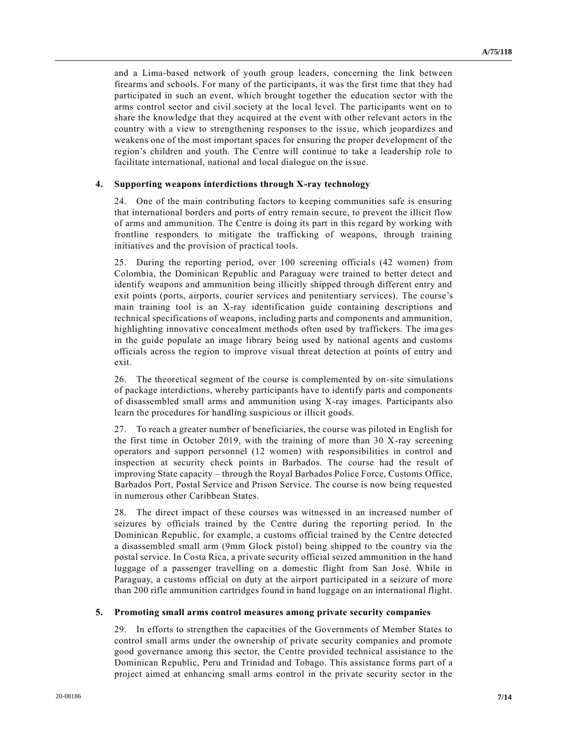and a Lima-based network of youth group leaders, concerning the link between firearms and schools. For many of the participants, it was the first time that they had participated in such an event, which brought together the education sector with the arms control sector and civil society at the local level. The participants went on to share the knowledge that they acquired at the event with other relevant actors in the country with a view to strengthening responses to the issue, which jeopardizes and weakens one of the most important spaces for ensuring the proper development of the region's children and youth. The Centre will continue to take a leadership role to facilitate international, national and local dialogue on the issue.

### **4. Supporting weapons interdictions through X-ray technology**

24. One of the main contributing factors to keeping communities safe is ensuring that international borders and ports of entry remain secure, to prevent the illicit flow of arms and ammunition. The Centre is doing its part in this regard by working with frontline responders to mitigate the trafficking of weapons, through training initiatives and the provision of practical tools.

25. During the reporting period, over 100 screening officials (42 women) from Colombia, the Dominican Republic and Paraguay were trained to better detect and identify weapons and ammunition being illicitly shipped through different entry and exit points (ports, airports, courier services and penitentiary services). The course's main training tool is an X-ray identification guide containing descriptions and technical specifications of weapons, including parts and components and ammunition, highlighting innovative concealment methods often used by traffickers. The ima ges in the guide populate an image library being used by national agents and customs officials across the region to improve visual threat detection at points of entry and exit.

26. The theoretical segment of the course is complemented by on-site simulations of package interdictions, whereby participants have to identify parts and components of disassembled small arms and ammunition using X-ray images. Participants also learn the procedures for handling suspicious or illicit goods.

27. To reach a greater number of beneficiaries, the course was piloted in English for the first time in October 2019, with the training of more than 30 X-ray screening operators and support personnel (12 women) with responsibilities in control and inspection at security check points in Barbados. The course had the result of improving State capacity – through the Royal Barbados Police Force, Customs Office, Barbados Port, Postal Service and Prison Service. The course is now being requested in numerous other Caribbean States.

28. The direct impact of these courses was witnessed in an increased number of seizures by officials trained by the Centre during the reporting period. In the Dominican Republic, for example, a customs official trained by the Centre detected a disassembled small arm (9mm Glock pistol) being shipped to the country via the postal service. In Costa Rica, a private security official seized ammunition in the hand luggage of a passenger travelling on a domestic flight from San José. While in Paraguay, a customs official on duty at the airport participated in a seizure of more than 200 rifle ammunition cartridges found in hand luggage on an international flight.

#### **5. Promoting small arms control measures among private security companies**

29. In efforts to strengthen the capacities of the Governments of Member States to control small arms under the ownership of private security companies and promote good governance among this sector, the Centre provided technical assistance to the Dominican Republic, Peru and Trinidad and Tobago. This assistance forms part of a project aimed at enhancing small arms control in the private security sector in the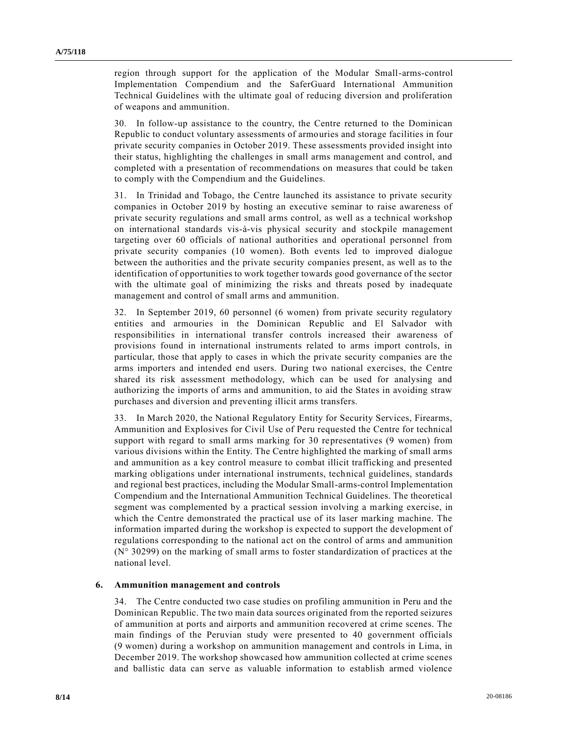region through support for the application of the Modular Small-arms-control Implementation Compendium and the SaferGuard International Ammunition Technical Guidelines with the ultimate goal of reducing diversion and proliferation of weapons and ammunition.

30. In follow-up assistance to the country, the Centre returned to the Dominican Republic to conduct voluntary assessments of armouries and storage facilities in four private security companies in October 2019. These assessments provided insight into their status, highlighting the challenges in small arms management and control, and completed with a presentation of recommendations on measures that could be taken to comply with the Compendium and the Guidelines.

31. In Trinidad and Tobago, the Centre launched its assistance to private security companies in October 2019 by hosting an executive seminar to raise awareness of private security regulations and small arms control, as well as a technical workshop on international standards vis-à-vis physical security and stockpile management targeting over 60 officials of national authorities and operational personnel from private security companies (10 women). Both events led to improved dialogue between the authorities and the private security companies present, as well as to the identification of opportunities to work together towards good governance of the sector with the ultimate goal of minimizing the risks and threats posed by inadequate management and control of small arms and ammunition.

32. In September 2019, 60 personnel (6 women) from private security regulatory entities and armouries in the Dominican Republic and El Salvador with responsibilities in international transfer controls increased their awareness of provisions found in international instruments related to arms import controls, in particular, those that apply to cases in which the private security companies are the arms importers and intended end users. During two national exercises, the Centre shared its risk assessment methodology, which can be used for analysing and authorizing the imports of arms and ammunition, to aid the States in avoiding straw purchases and diversion and preventing illicit arms transfers.

33. In March 2020, the National Regulatory Entity for Security Services, Firearms, Ammunition and Explosives for Civil Use of Peru requested the Centre for technical support with regard to small arms marking for 30 representatives (9 women) from various divisions within the Entity. The Centre highlighted the marking of small arms and ammunition as a key control measure to combat illicit trafficking and presented marking obligations under international instruments, technical guidelines, standards and regional best practices, including the Modular Small-arms-control Implementation Compendium and the International Ammunition Technical Guidelines. The theoretical segment was complemented by a practical session involving a marking exercise, in which the Centre demonstrated the practical use of its laser marking machine. The information imparted during the workshop is expected to support the development of regulations corresponding to the national act on the control of arms and ammunition (N° 30299) on the marking of small arms to foster standardization of practices at the national level.

#### **6. Ammunition management and controls**

34. The Centre conducted two case studies on profiling ammunition in Peru and the Dominican Republic. The two main data sources originated from the reported seizures of ammunition at ports and airports and ammunition recovered at crime scenes. The main findings of the Peruvian study were presented to 40 government officials (9 women) during a workshop on ammunition management and controls in Lima, in December 2019. The workshop showcased how ammunition collected at crime scenes and ballistic data can serve as valuable information to establish armed violence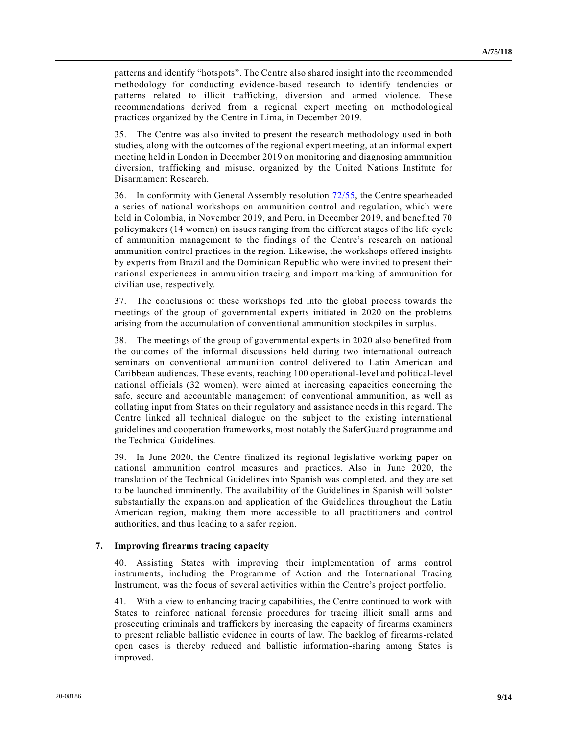patterns and identify "hotspots". The Centre also shared insight into the recommended methodology for conducting evidence-based research to identify tendencies or patterns related to illicit trafficking, diversion and armed violence. These recommendations derived from a regional expert meeting on methodological practices organized by the Centre in Lima, in December 2019.

35. The Centre was also invited to present the research methodology used in both studies, along with the outcomes of the regional expert meeting, at an informal expert meeting held in London in December 2019 on monitoring and diagnosing ammunition diversion, trafficking and misuse, organized by the United Nations Institute for Disarmament Research.

36. In conformity with General Assembly resolution 72/55, the Centre spearheaded a series of national workshops on ammunition control and regulation, which were held in Colombia, in November 2019, and Peru, in December 2019, and benefited 70 policymakers (14 women) on issues ranging from the different stages of the life cycle of ammunition management to the findings of the Centre's research on national ammunition control practices in the region. Likewise, the workshops offered insights by experts from Brazil and the Dominican Republic who were invited to present their national experiences in ammunition tracing and import marking of ammunition for civilian use, respectively.

37. The conclusions of these workshops fed into the global process towards the meetings of the group of governmental experts initiated in 2020 on the problems arising from the accumulation of conventional ammunition stockpiles in surplus.

38. The meetings of the group of governmental experts in 2020 also benefited from the outcomes of the informal discussions held during two international outreach seminars on conventional ammunition control delivered to Latin American and Caribbean audiences. These events, reaching 100 operational-level and political-level national officials (32 women), were aimed at increasing capacities concerning the safe, secure and accountable management of conventional ammunition, as well as collating input from States on their regulatory and assistance needs in this regard. The Centre linked all technical dialogue on the subject to the existing international guidelines and cooperation frameworks, most notably the SaferGuard programme and the Technical Guidelines.

39. In June 2020, the Centre finalized its regional legislative working paper on national ammunition control measures and practices. Also in June 2020, the translation of the Technical Guidelines into Spanish was completed, and they are set to be launched imminently. The availability of the Guidelines in Spanish will bolster substantially the expansion and application of the Guidelines throughout the Latin American region, making them more accessible to all practitioners and control authorities, and thus leading to a safer region.

#### **7. Improving firearms tracing capacity**

40. Assisting States with improving their implementation of arms control instruments, including the Programme of Action and the International Tracing Instrument, was the focus of several activities within the Centre's project portfolio.

41. With a view to enhancing tracing capabilities, the Centre continued to work with States to reinforce national forensic procedures for tracing illicit small arms and prosecuting criminals and traffickers by increasing the capacity of firearms examiners to present reliable ballistic evidence in courts of law. The backlog of firearms-related open cases is thereby reduced and ballistic information-sharing among States is improved.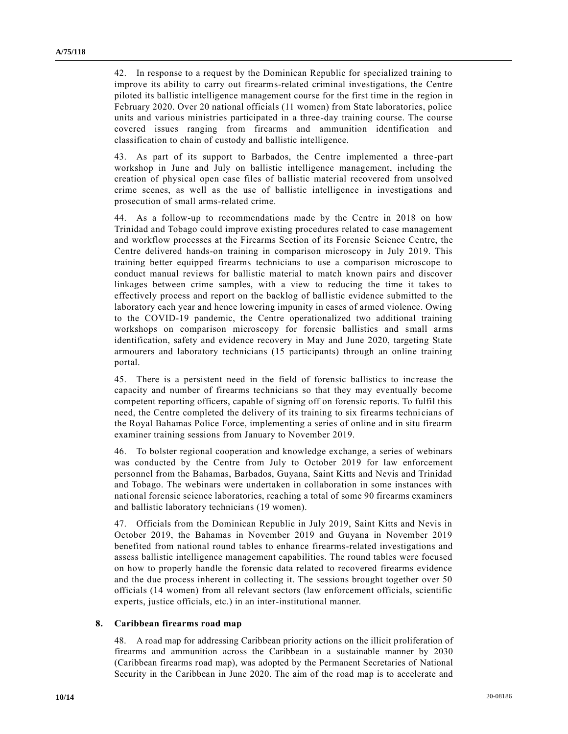42. In response to a request by the Dominican Republic for specialized training to improve its ability to carry out firearms-related criminal investigations, the Centre piloted its ballistic intelligence management course for the first time in the region in February 2020. Over 20 national officials (11 women) from State laboratories, police units and various ministries participated in a three-day training course. The course covered issues ranging from firearms and ammunition identification and classification to chain of custody and ballistic intelligence.

43. As part of its support to Barbados, the Centre implemented a three-part workshop in June and July on ballistic intelligence management, including the creation of physical open case files of ballistic material recovered from unsolved crime scenes, as well as the use of ballistic intelligence in investigations and prosecution of small arms-related crime.

44. As a follow-up to recommendations made by the Centre in 2018 on how Trinidad and Tobago could improve existing procedures related to case management and workflow processes at the Firearms Section of its Forensic Science Centre, the Centre delivered hands-on training in comparison microscopy in July 2019. This training better equipped firearms technicians to use a comparison microscope to conduct manual reviews for ballistic material to match known pairs and discover linkages between crime samples, with a view to reducing the time it takes to effectively process and report on the backlog of ballistic evidence submitted to the laboratory each year and hence lowering impunity in cases of armed violence. Owing to the COVID-19 pandemic, the Centre operationalized two additional training workshops on comparison microscopy for forensic ballistics and small arms identification, safety and evidence recovery in May and June 2020, targeting State armourers and laboratory technicians (15 participants) through an online training portal.

45. There is a persistent need in the field of forensic ballistics to increase the capacity and number of firearms technicians so that they may eventually become competent reporting officers, capable of signing off on forensic reports. To fulfil this need, the Centre completed the delivery of its training to six firearms techni cians of the Royal Bahamas Police Force, implementing a series of online and in situ firearm examiner training sessions from January to November 2019.

46. To bolster regional cooperation and knowledge exchange, a series of webinars was conducted by the Centre from July to October 2019 for law enforcement personnel from the Bahamas, Barbados, Guyana, Saint Kitts and Nevis and Trinidad and Tobago. The webinars were undertaken in collaboration in some instances with national forensic science laboratories, reaching a total of some 90 firearms examiners and ballistic laboratory technicians (19 women).

47. Officials from the Dominican Republic in July 2019, Saint Kitts and Nevis in October 2019, the Bahamas in November 2019 and Guyana in November 2019 benefited from national round tables to enhance firearms-related investigations and assess ballistic intelligence management capabilities. The round tables were focused on how to properly handle the forensic data related to recovered firearms evidence and the due process inherent in collecting it. The sessions brought together over 50 officials (14 women) from all relevant sectors (law enforcement officials, scientific experts, justice officials, etc.) in an inter-institutional manner.

#### **8. Caribbean firearms road map**

48. A road map for addressing Caribbean priority actions on the illicit proliferation of firearms and ammunition across the Caribbean in a sustainable manner by 2030 (Caribbean firearms road map), was adopted by the Permanent Secretaries of National Security in the Caribbean in June 2020. The aim of the road map is to accelerate and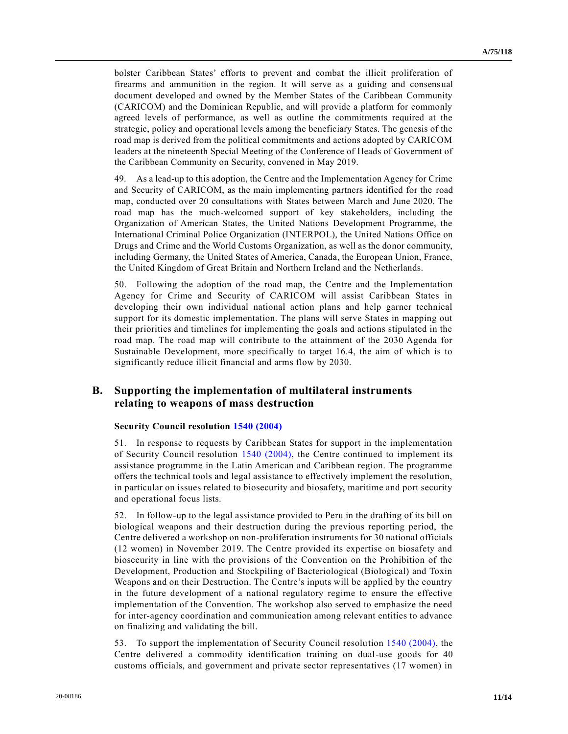bolster Caribbean States' efforts to prevent and combat the illicit proliferation of firearms and ammunition in the region. It will serve as a guiding and consensual document developed and owned by the Member States of the Caribbean Community (CARICOM) and the Dominican Republic, and will provide a platform for commonly agreed levels of performance, as well as outline the commitments required at the strategic, policy and operational levels among the beneficiary States. The genesis of the road map is derived from the political commitments and actions adopted by CARICOM leaders at the nineteenth Special Meeting of the Conference of Heads of Government of the Caribbean Community on Security, convened in May 2019.

49. As a lead-up to this adoption, the Centre and the Implementation Agency for Crime and Security of CARICOM, as the main implementing partners identified for the road map, conducted over 20 consultations with States between March and June 2020. The road map has the much-welcomed support of key stakeholders, including the Organization of American States, the United Nations Development Programme, the International Criminal Police Organization (INTERPOL), the United Nations Office on Drugs and Crime and the World Customs Organization, as well as the donor community, including Germany, the United States of America, Canada, the European Union, France, the United Kingdom of Great Britain and Northern Ireland and the Netherlands.

50. Following the adoption of the road map, the Centre and the Implementation Agency for Crime and Security of CARICOM will assist Caribbean States in developing their own individual national action plans and help garner technical support for its domestic implementation. The plans will serve States in mapping out their priorities and timelines for implementing the goals and actions stipulated in the road map. The road map will contribute to the attainment of the 2030 Agenda for Sustainable Development, more specifically to target 16.4, the aim of which is to significantly reduce illicit financial and arms flow by 2030.

## **B. Supporting the implementation of multilateral instruments relating to weapons of mass destruction**

#### **Security Council resolution 1540 (2004)**

51. In response to requests by Caribbean States for support in the implementation of Security Council resolution 1540 (2004), the Centre continued to implement its assistance programme in the Latin American and Caribbean region. The programme offers the technical tools and legal assistance to effectively implement the resolution, in particular on issues related to biosecurity and biosafety, maritime and port security and operational focus lists.

52. In follow-up to the legal assistance provided to Peru in the drafting of its bill on biological weapons and their destruction during the previous reporting period, the Centre delivered a workshop on non-proliferation instruments for 30 national officials (12 women) in November 2019. The Centre provided its expertise on biosafety and biosecurity in line with the provisions of the Convention on the Prohibition of the Development, Production and Stockpiling of Bacteriological (Biological) and Toxin Weapons and on their Destruction. The Centre's inputs will be applied by the country in the future development of a national regulatory regime to ensure the effective implementation of the Convention. The workshop also served to emphasize the need for inter-agency coordination and communication among relevant entities to advance on finalizing and validating the bill.

53. To support the implementation of Security Council resolution 1540 (2004), the Centre delivered a commodity identification training on dual-use goods for 40 customs officials, and government and private sector representatives (17 women) in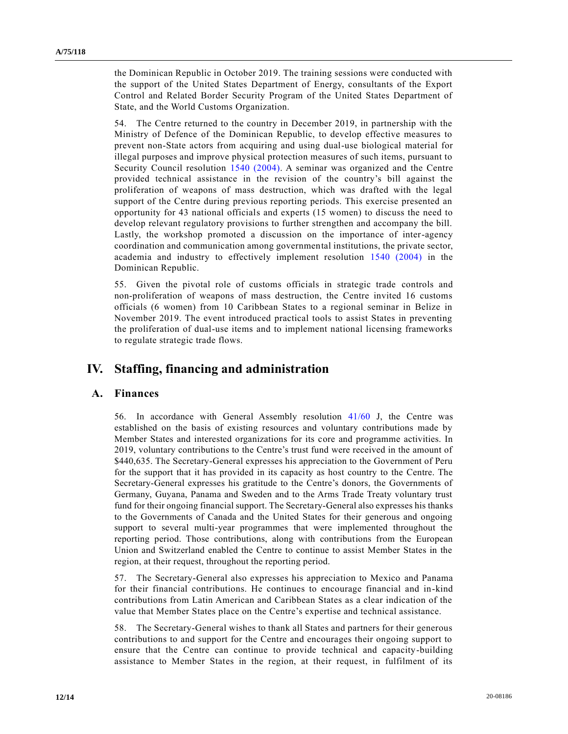the Dominican Republic in October 2019. The training sessions were conducted with the support of the United States Department of Energy, consultants of the Export Control and Related Border Security Program of the United States Department of State, and the World Customs Organization.

54. The Centre returned to the country in December 2019, in partnership with the Ministry of Defence of the Dominican Republic, to develop effective measures to prevent non-State actors from acquiring and using dual-use biological material for illegal purposes and improve physical protection measures of such items, pursuant to Security Council resolution 1540 (2004). A seminar was organized and the Centre provided technical assistance in the revision of the country's bill against the proliferation of weapons of mass destruction, which was drafted with the legal support of the Centre during previous reporting periods. This exercise presented an opportunity for 43 national officials and experts (15 women) to discuss the need to develop relevant regulatory provisions to further strengthen and accompany the bill. Lastly, the workshop promoted a discussion on the importance of inter-agency coordination and communication among governmental institutions, the private sector, academia and industry to effectively implement resolution 1540 (2004) in the Dominican Republic.

55. Given the pivotal role of customs officials in strategic trade controls and non-proliferation of weapons of mass destruction, the Centre invited 16 customs officials (6 women) from 10 Caribbean States to a regional seminar in Belize in November 2019. The event introduced practical tools to assist States in preventing the proliferation of dual-use items and to implement national licensing frameworks to regulate strategic trade flows.

# **IV. Staffing, financing and administration**

### **A. Finances**

56. In accordance with General Assembly resolution 41/60 J, the Centre was established on the basis of existing resources and voluntary contributions made by Member States and interested organizations for its core and programme activities. In 2019, voluntary contributions to the Centre's trust fund were received in the amount of \$440,635. The Secretary-General expresses his appreciation to the Government of Peru for the support that it has provided in its capacity as host country to the Centre. The Secretary-General expresses his gratitude to the Centre's donors, the Governments of Germany, Guyana, Panama and Sweden and to the Arms Trade Treaty voluntary trust fund for their ongoing financial support. The Secretary-General also expresses his thanks to the Governments of Canada and the United States for their generous and ongoing support to several multi-year programmes that were implemented throughout the reporting period. Those contributions, along with contributions from the European Union and Switzerland enabled the Centre to continue to assist Member States in the region, at their request, throughout the reporting period.

57. The Secretary-General also expresses his appreciation to Mexico and Panama for their financial contributions. He continues to encourage financial and in-kind contributions from Latin American and Caribbean States as a clear indication of the value that Member States place on the Centre's expertise and technical assistance.

58. The Secretary-General wishes to thank all States and partners for their generous contributions to and support for the Centre and encourages their ongoing support to ensure that the Centre can continue to provide technical and capacity-building assistance to Member States in the region, at their request, in fulfilment of its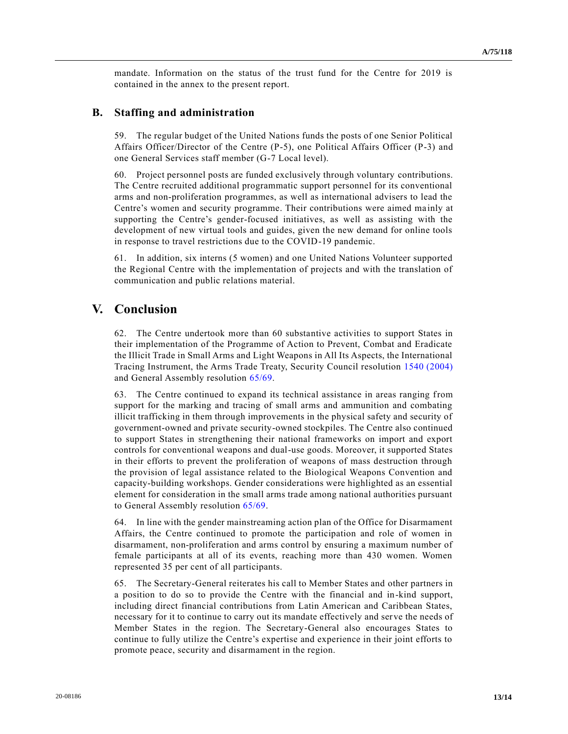mandate. Information on the status of the trust fund for the Centre for 2019 is contained in the annex to the present report.

### **B. Staffing and administration**

59. The regular budget of the United Nations funds the posts of one Senior Political Affairs Officer/Director of the Centre (P-5), one Political Affairs Officer (P-3) and one General Services staff member (G-7 Local level).

60. Project personnel posts are funded exclusively through voluntary contributions. The Centre recruited additional programmatic support personnel for its conventional arms and non-proliferation programmes, as well as international advisers to lead the Centre's women and security programme. Their contributions were aimed ma inly at supporting the Centre's gender-focused initiatives, as well as assisting with the development of new virtual tools and guides, given the new demand for online tools in response to travel restrictions due to the COVID-19 pandemic.

61. In addition, six interns (5 women) and one United Nations Volunteer supported the Regional Centre with the implementation of projects and with the translation of communication and public relations material.

## **V. Conclusion**

62. The Centre undertook more than 60 substantive activities to support States in their implementation of the Programme of Action to Prevent, Combat and Eradicate the Illicit Trade in Small Arms and Light Weapons in All Its Aspects, the International Tracing Instrument, the Arms Trade Treaty, Security Council resolution 1540 (2004) and General Assembly resolution 65/69.

63. The Centre continued to expand its technical assistance in areas ranging from support for the marking and tracing of small arms and ammunition and combating illicit trafficking in them through improvements in the physical safety and security of government-owned and private security-owned stockpiles. The Centre also continued to support States in strengthening their national frameworks on import and export controls for conventional weapons and dual-use goods. Moreover, it supported States in their efforts to prevent the proliferation of weapons of mass destruction through the provision of legal assistance related to the Biological Weapons Convention and capacity-building workshops. Gender considerations were highlighted as an essential element for consideration in the small arms trade among national authorities pursuant to General Assembly resolution 65/69.

64. In line with the gender mainstreaming action plan of the Office for Disarmament Affairs, the Centre continued to promote the participation and role of women in disarmament, non-proliferation and arms control by ensuring a maximum number of female participants at all of its events, reaching more than 430 women. Women represented 35 per cent of all participants.

65. The Secretary-General reiterates his call to Member States and other partners in a position to do so to provide the Centre with the financial and in-kind support, including direct financial contributions from Latin American and Caribbean States, necessary for it to continue to carry out its mandate effectively and serve the needs of Member States in the region. The Secretary-General also encourages States to continue to fully utilize the Centre's expertise and experience in their joint efforts to promote peace, security and disarmament in the region.